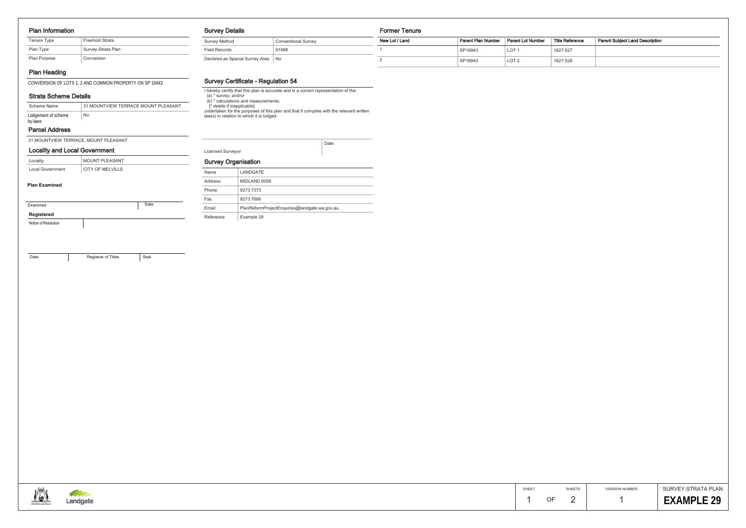#### Plan Information

# Plan Heading

CONVERSION OF LOTS 1, 2 AND COMMON PROPERTY ON SP 16943

# Strata Scheme Details

#### Parcel Address

31 MOUNTVIEW TERRACE, MOUNT PLEASANT

## Survey Details

| <b>Survey Method</b>            | <b>Conventional Survey</b> |
|---------------------------------|----------------------------|
| Field Records                   | 91988                      |
| Declared as Special Survey Area | No                         |

### Survey Certificate - Regulation 54

I hereby certify that this plan is accurate and is a correct representation of the: (a) \* survey; and/or (b) \* calculations and measurements; [\* delete if inapplicable] undertaken for the purposes of this plan and that it complies with the relevant written law(s) in relation to which it is lodged.

> SURVEY-STRATA PLAN **EXAMPLE 29**

| <b>Licensed Surveyor</b> |  |
|--------------------------|--|

Date

#### Survey Organisation

#### Former Tenure

| itional Survey | New Lot / Land | <b>Parent Plan Number</b> | Parent Lot Number | Title Reference | Parent Subiect Land Description |
|----------------|----------------|---------------------------|-------------------|-----------------|---------------------------------|
|                |                | SP16943                   | <b>LOT</b>        | 1827-527        |                                 |
|                |                | SP16943                   | LOT <sub>2</sub>  | 1827-528        |                                 |

| Name      | LANDGATE                                      |
|-----------|-----------------------------------------------|
| Address   | MIDLAND 6056                                  |
| Phone     | 9273 7373                                     |
| Fax       | 9273 7666                                     |
| Email     | PlanReformProjectEnguiries@landgate.wa.gov.au |
| Reference | Example 29                                    |



SHEET SHEETS

| Scheme Name                    | 31 MOUNTVIEW TERRACE MOUNT PLEASANT |
|--------------------------------|-------------------------------------|
| Lodgement of scheme<br>by-laws | No                                  |

| Locality         | <b>MOUNT PLEASANT</b> |
|------------------|-----------------------|
| Local Government | CITY OF MELVILLE      |

## Locality and Local Government

| Examined   | Date |
|------------|------|
| Registered |      |

Notice of Resolution

Date

Registrar of Titles **Seal** 

### **Plan Examined**

| Tenure Type  | Freehold Strata    |
|--------------|--------------------|
| Plan Type    | Survey-Strata Plan |
| Plan Purpose | Conversion         |